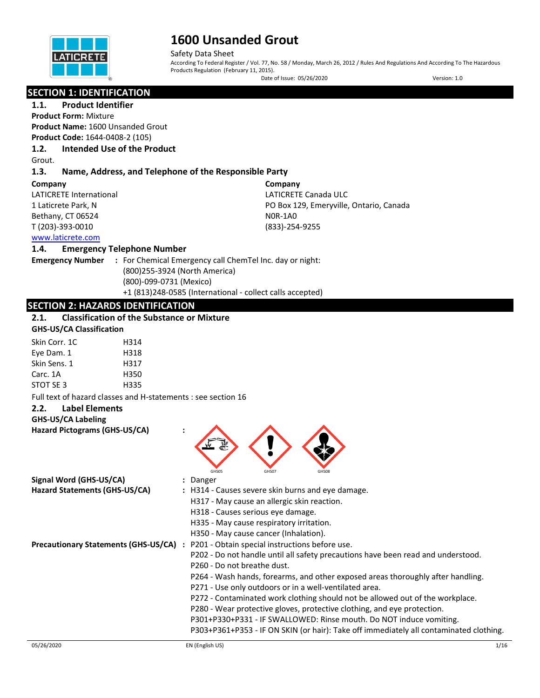

Safety Data Sheet According To Federal Register / Vol. 77, No. 58 / Monday, March 26, 2012 / Rules And Regulations And According To The Hazardous Products Regulation (February 11, 2015). Date of Issue: 05/26/2020 Version: 1.0

## **SECTION 1: IDENTIFICATION**

**1.1. Product Identifier**

**Product Form:** Mixture **Product Name:** 1600 Unsanded Grout **Product Code:** 1644-0408-2 (105)

## **1.2. Intended Use of the Product**

Grout.

### **1.3. Name, Address, and Telephone of the Responsible Party**

#### **Company**

LATICRETE International 1 Laticrete Park, N Bethany, CT 06524 T (203)-393-0010

**Company** LATICRETE Canada ULC PO Box 129, Emeryville, Ontario, Canada N0R-1A0 (833)-254-9255

#### [www.laticrete.com](http://www.laticrete.com/)  **1.4. Emergency Telephone Number**

**Emergency Number :** For Chemical Emergency call ChemTel Inc. day or night: (800)255-3924 (North America) (800)-099-0731 (Mexico) +1 (813)248-0585 (International - collect calls accepted)

## **SECTION 2: HAZARDS IDENTIFICATION**

## **2.1. Classification of the Substance or Mixture**

## **GHS-US/CA Classification**

| Skin Corr. 1C | H314 |
|---------------|------|
| Eye Dam. 1    | H318 |
| Skin Sens. 1  | H317 |
| Carc. 1A      | H350 |
| STOT SF 3     | H335 |

Full text of hazard classes and H-statements : see section 16

## **2.2. Label Elements**

#### **GHS-US/CA Labeling**

**Hazard Pictograms (GHS-US/CA) :**

|                                             | ▼                                                                                      |
|---------------------------------------------|----------------------------------------------------------------------------------------|
| Signal Word (GHS-US/CA)                     | GHS08<br>GHS05<br>GHS07<br>: Danger                                                    |
| Hazard Statements (GHS-US/CA)               | : H314 - Causes severe skin burns and eye damage.                                      |
|                                             | H317 - May cause an allergic skin reaction.                                            |
|                                             | H318 - Causes serious eye damage.                                                      |
|                                             | H335 - May cause respiratory irritation.                                               |
|                                             | H350 - May cause cancer (Inhalation).                                                  |
| <b>Precautionary Statements (GHS-US/CA)</b> | : P201 - Obtain special instructions before use.                                       |
|                                             | P202 - Do not handle until all safety precautions have been read and understood.       |
|                                             | P260 - Do not breathe dust.                                                            |
|                                             | P264 - Wash hands, forearms, and other exposed areas thoroughly after handling.        |
|                                             | P271 - Use only outdoors or in a well-ventilated area.                                 |
|                                             | P272 - Contaminated work clothing should not be allowed out of the workplace.          |
|                                             | P280 - Wear protective gloves, protective clothing, and eye protection.                |
|                                             | P301+P330+P331 - IF SWALLOWED: Rinse mouth. Do NOT induce vomiting.                    |
|                                             | P303+P361+P353 - IF ON SKIN (or hair): Take off immediately all contaminated clothing. |

 $\langle \cdot \rangle$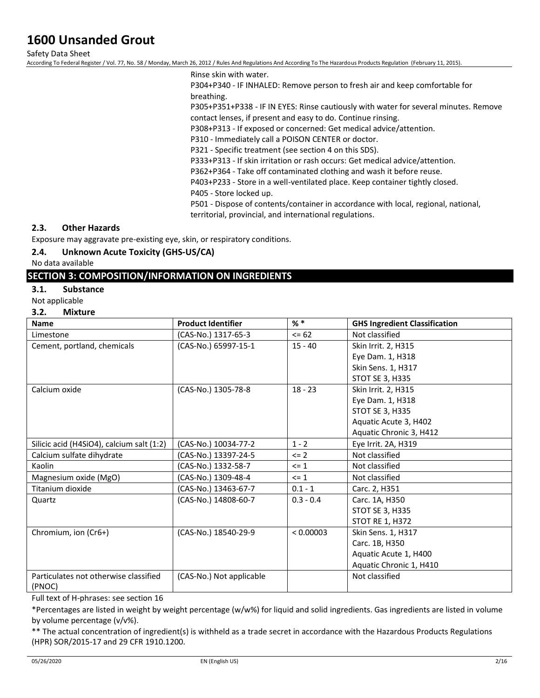Safety Data Sheet

According To Federal Register / Vol. 77, No. 58 / Monday, March 26, 2012 / Rules And Regulations And According To The Hazardous Products Regulation (February 11, 2015).

Rinse skin with water.

P304+P340 - IF INHALED: Remove person to fresh air and keep comfortable for breathing.

P305+P351+P338 - IF IN EYES: Rinse cautiously with water for several minutes. Remove contact lenses, if present and easy to do. Continue rinsing.

P308+P313 - If exposed or concerned: Get medical advice/attention.

P310 - Immediately call a POISON CENTER or doctor.

P321 - Specific treatment (see section 4 on this SDS).

P333+P313 - If skin irritation or rash occurs: Get medical advice/attention.

P362+P364 - Take off contaminated clothing and wash it before reuse.

P403+P233 - Store in a well-ventilated place. Keep container tightly closed. P405 - Store locked up.

P501 - Dispose of contents/container in accordance with local, regional, national, territorial, provincial, and international regulations.

### **2.3. Other Hazards**

Exposure may aggravate pre-existing eye, skin, or respiratory conditions.

## **2.4. Unknown Acute Toxicity (GHS-US/CA)**

No data available

## **SECTION 3: COMPOSITION/INFORMATION ON INGREDIENTS**

**3.1. Substance**

Not applicable

**3.2. Mixture**

| <b>Name</b>                               | <b>Product Identifier</b> | $%$ $*$     | <b>GHS Ingredient Classification</b> |
|-------------------------------------------|---------------------------|-------------|--------------------------------------|
| Limestone                                 | (CAS-No.) 1317-65-3       | $= 62$      | Not classified                       |
| Cement, portland, chemicals               | (CAS-No.) 65997-15-1      | $15 - 40$   | Skin Irrit. 2, H315                  |
|                                           |                           |             | Eye Dam. 1, H318                     |
|                                           |                           |             | Skin Sens. 1, H317                   |
|                                           |                           |             | STOT SE 3, H335                      |
| Calcium oxide                             | (CAS-No.) 1305-78-8       | $18 - 23$   | Skin Irrit. 2, H315                  |
|                                           |                           |             | Eye Dam. 1, H318                     |
|                                           |                           |             | <b>STOT SE 3, H335</b>               |
|                                           |                           |             | Aquatic Acute 3, H402                |
|                                           |                           |             | Aquatic Chronic 3, H412              |
| Silicic acid (H4SiO4), calcium salt (1:2) | (CAS-No.) 10034-77-2      | $1 - 2$     | Eye Irrit. 2A, H319                  |
| Calcium sulfate dihydrate                 | (CAS-No.) 13397-24-5      | $\leq$ 2    | Not classified                       |
| Kaolin                                    | (CAS-No.) 1332-58-7       | $\leq 1$    | Not classified                       |
| Magnesium oxide (MgO)                     | (CAS-No.) 1309-48-4       | $\leq 1$    | Not classified                       |
| Titanium dioxide                          | (CAS-No.) 13463-67-7      | $0.1 - 1$   | Carc. 2, H351                        |
| Quartz                                    | (CAS-No.) 14808-60-7      | $0.3 - 0.4$ | Carc. 1A, H350                       |
|                                           |                           |             | <b>STOT SE 3, H335</b>               |
|                                           |                           |             | STOT RE 1, H372                      |
| Chromium, ion (Cr6+)                      | (CAS-No.) 18540-29-9      | < 0.00003   | Skin Sens. 1, H317                   |
|                                           |                           |             | Carc. 1B, H350                       |
|                                           |                           |             | Aquatic Acute 1, H400                |
|                                           |                           |             | Aquatic Chronic 1, H410              |
| Particulates not otherwise classified     | (CAS-No.) Not applicable  |             | Not classified                       |
| (PNOC)                                    |                           |             |                                      |

Full text of H-phrases: see section 16

\*Percentages are listed in weight by weight percentage (w/w%) for liquid and solid ingredients. Gas ingredients are listed in volume by volume percentage (v/v%).

\*\* The actual concentration of ingredient(s) is withheld as a trade secret in accordance with the Hazardous Products Regulations (HPR) SOR/2015-17 and 29 CFR 1910.1200.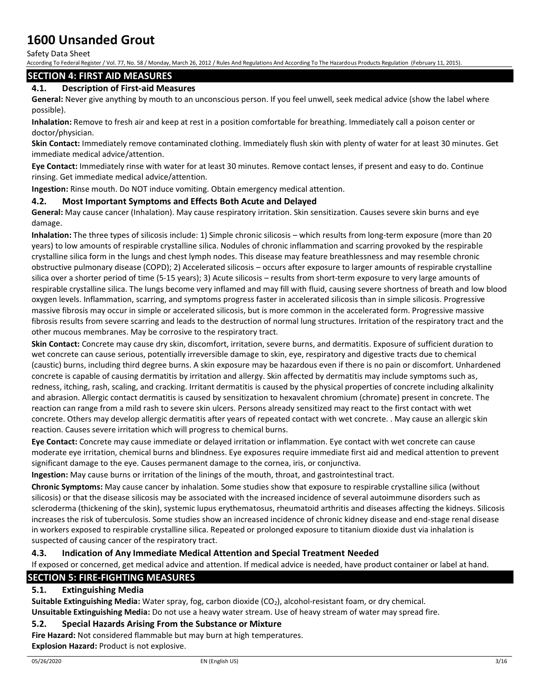Safety Data Sheet

According To Federal Register / Vol. 77, No. 58 / Monday, March 26, 2012 / Rules And Regulations And According To The Hazardous Products Regulation (February 11, 2015).

## **SECTION 4: FIRST AID MEASURES**

## **4.1. Description of First-aid Measures**

**General:** Never give anything by mouth to an unconscious person. If you feel unwell, seek medical advice (show the label where possible).

**Inhalation:** Remove to fresh air and keep at rest in a position comfortable for breathing. Immediately call a poison center or doctor/physician.

**Skin Contact:** Immediately remove contaminated clothing. Immediately flush skin with plenty of water for at least 30 minutes. Get immediate medical advice/attention.

**Eye Contact:** Immediately rinse with water for at least 30 minutes. Remove contact lenses, if present and easy to do. Continue rinsing. Get immediate medical advice/attention.

**Ingestion:** Rinse mouth. Do NOT induce vomiting. Obtain emergency medical attention.

### **4.2. Most Important Symptoms and Effects Both Acute and Delayed**

**General:** May cause cancer (Inhalation). May cause respiratory irritation. Skin sensitization. Causes severe skin burns and eye damage.

**Inhalation:** The three types of silicosis include: 1) Simple chronic silicosis – which results from long-term exposure (more than 20 years) to low amounts of respirable crystalline silica. Nodules of chronic inflammation and scarring provoked by the respirable crystalline silica form in the lungs and chest lymph nodes. This disease may feature breathlessness and may resemble chronic obstructive pulmonary disease (COPD); 2) Accelerated silicosis – occurs after exposure to larger amounts of respirable crystalline silica over a shorter period of time (5-15 years); 3) Acute silicosis – results from short-term exposure to very large amounts of respirable crystalline silica. The lungs become very inflamed and may fill with fluid, causing severe shortness of breath and low blood oxygen levels. Inflammation, scarring, and symptoms progress faster in accelerated silicosis than in simple silicosis. Progressive massive fibrosis may occur in simple or accelerated silicosis, but is more common in the accelerated form. Progressive massive fibrosis results from severe scarring and leads to the destruction of normal lung structures. Irritation of the respiratory tract and the other mucous membranes. May be corrosive to the respiratory tract.

**Skin Contact:** Concrete may cause dry skin, discomfort, irritation, severe burns, and dermatitis. Exposure of sufficient duration to wet concrete can cause serious, potentially irreversible damage to skin, eye, respiratory and digestive tracts due to chemical (caustic) burns, including third degree burns. A skin exposure may be hazardous even if there is no pain or discomfort. Unhardened concrete is capable of causing dermatitis by irritation and allergy. Skin affected by dermatitis may include symptoms such as, redness, itching, rash, scaling, and cracking. Irritant dermatitis is caused by the physical properties of concrete including alkalinity and abrasion. Allergic contact dermatitis is caused by sensitization to hexavalent chromium (chromate) present in concrete. The reaction can range from a mild rash to severe skin ulcers. Persons already sensitized may react to the first contact with wet concrete. Others may develop allergic dermatitis after years of repeated contact with wet concrete. . May cause an allergic skin reaction. Causes severe irritation which will progress to chemical burns.

**Eye Contact:** Concrete may cause immediate or delayed irritation or inflammation. Eye contact with wet concrete can cause moderate eye irritation, chemical burns and blindness. Eye exposures require immediate first aid and medical attention to prevent significant damage to the eye. Causes permanent damage to the cornea, iris, or conjunctiva.

**Ingestion:** May cause burns or irritation of the linings of the mouth, throat, and gastrointestinal tract.

**Chronic Symptoms:** May cause cancer by inhalation. Some studies show that exposure to respirable crystalline silica (without silicosis) or that the disease silicosis may be associated with the increased incidence of several autoimmune disorders such as scleroderma (thickening of the skin), systemic lupus erythematosus, rheumatoid arthritis and diseases affecting the kidneys. Silicosis increases the risk of tuberculosis. Some studies show an increased incidence of chronic kidney disease and end-stage renal disease in workers exposed to respirable crystalline silica. Repeated or prolonged exposure to titanium dioxide dust via inhalation is suspected of causing cancer of the respiratory tract.

### **4.3. Indication of Any Immediate Medical Attention and Special Treatment Needed**

If exposed or concerned, get medical advice and attention. If medical advice is needed, have product container or label at hand. **SECTION 5: FIRE-FIGHTING MEASURES**

## **5.1. Extinguishing Media**

**Suitable Extinguishing Media:** Water spray, fog, carbon dioxide (CO<sub>2</sub>), alcohol-resistant foam, or dry chemical.

**Unsuitable Extinguishing Media:** Do not use a heavy water stream. Use of heavy stream of water may spread fire.

### **5.2. Special Hazards Arising From the Substance or Mixture**

**Fire Hazard:** Not considered flammable but may burn at high temperatures.

**Explosion Hazard:** Product is not explosive.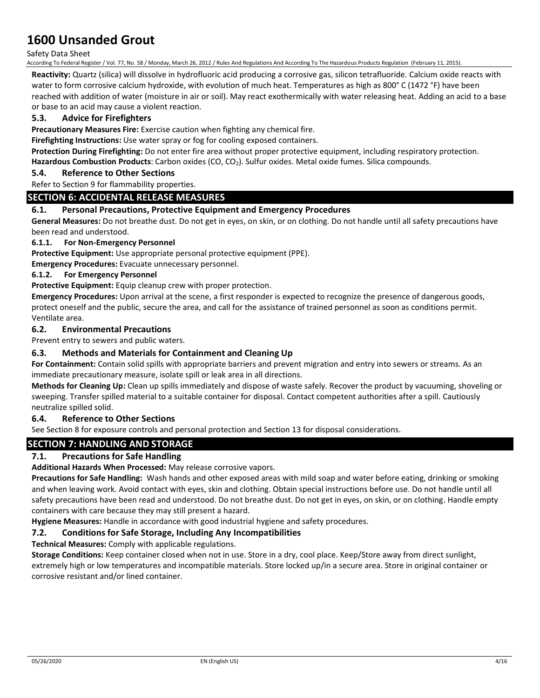### Safety Data Sheet

According To Federal Register / Vol. 77, No. 58 / Monday, March 26, 2012 / Rules And Regulations And According To The Hazardous Products Regulation (February 11, 2015).

**Reactivity:** Quartz (silica) will dissolve in hydrofluoric acid producing a corrosive gas, silicon tetrafluoride. Calcium oxide reacts with water to form corrosive calcium hydroxide, with evolution of much heat. Temperatures as high as 800° C (1472 °F) have been reached with addition of water (moisture in air or soil). May react exothermically with water releasing heat. Adding an acid to a base or base to an acid may cause a violent reaction.

## **5.3. Advice for Firefighters**

**Precautionary Measures Fire:** Exercise caution when fighting any chemical fire.

**Firefighting Instructions:** Use water spray or fog for cooling exposed containers.

**Protection During Firefighting:** Do not enter fire area without proper protective equipment, including respiratory protection. Hazardous Combustion Products: Carbon oxides (CO, CO<sub>2</sub>). Sulfur oxides. Metal oxide fumes. Silica compounds.

## **5.4. Reference to Other Sections**

### Refer to Section 9 for flammability properties.

## **SECTION 6: ACCIDENTAL RELEASE MEASURES**

### **6.1. Personal Precautions, Protective Equipment and Emergency Procedures**

**General Measures:** Do not breathe dust. Do not get in eyes, on skin, or on clothing. Do not handle until all safety precautions have been read and understood.

### **6.1.1. For Non-Emergency Personnel**

**Protective Equipment:** Use appropriate personal protective equipment (PPE).

**Emergency Procedures:** Evacuate unnecessary personnel.

### **6.1.2. For Emergency Personnel**

**Protective Equipment:** Equip cleanup crew with proper protection.

**Emergency Procedures:** Upon arrival at the scene, a first responder is expected to recognize the presence of dangerous goods, protect oneself and the public, secure the area, and call for the assistance of trained personnel as soon as conditions permit. Ventilate area.

### **6.2. Environmental Precautions**

Prevent entry to sewers and public waters.

### **6.3. Methods and Materials for Containment and Cleaning Up**

**For Containment:** Contain solid spills with appropriate barriers and prevent migration and entry into sewers or streams. As an immediate precautionary measure, isolate spill or leak area in all directions.

**Methods for Cleaning Up:** Clean up spills immediately and dispose of waste safely. Recover the product by vacuuming, shoveling or sweeping. Transfer spilled material to a suitable container for disposal. Contact competent authorities after a spill. Cautiously neutralize spilled solid.

### **6.4. Reference to Other Sections**

See Section 8 for exposure controls and personal protection and Section 13 for disposal considerations.

### **SECTION 7: HANDLING AND STORAGE**

### **7.1. Precautions for Safe Handling**

**Additional Hazards When Processed:** May release corrosive vapors.

**Precautions for Safe Handling:** Wash hands and other exposed areas with mild soap and water before eating, drinking or smoking and when leaving work. Avoid contact with eyes, skin and clothing. Obtain special instructions before use. Do not handle until all safety precautions have been read and understood. Do not breathe dust. Do not get in eyes, on skin, or on clothing. Handle empty containers with care because they may still present a hazard.

**Hygiene Measures:** Handle in accordance with good industrial hygiene and safety procedures.

### **7.2. Conditions for Safe Storage, Including Any Incompatibilities**

**Technical Measures:** Comply with applicable regulations.

**Storage Conditions:** Keep container closed when not in use. Store in a dry, cool place. Keep/Store away from direct sunlight, extremely high or low temperatures and incompatible materials. Store locked up/in a secure area. Store in original container or corrosive resistant and/or lined container.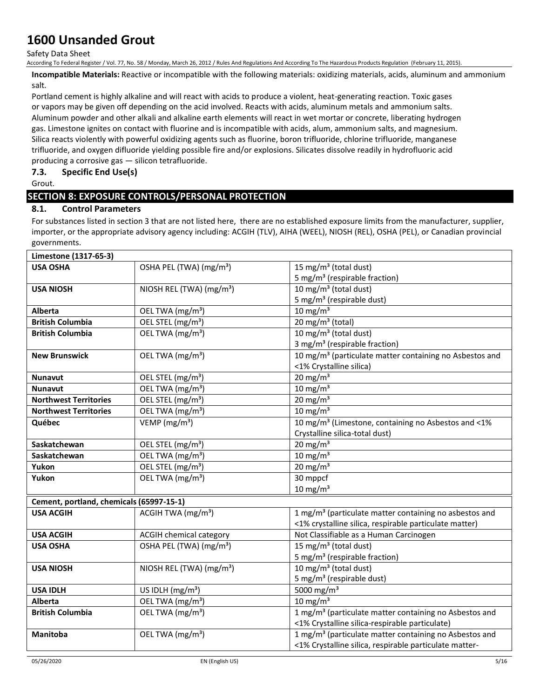#### Safety Data Sheet

According To Federal Register / Vol. 77, No. 58 / Monday, March 26, 2012 / Rules And Regulations And According To The Hazardous Products Regulation (February 11, 2015).

**Incompatible Materials:** Reactive or incompatible with the following materials: oxidizing materials, acids, aluminum and ammonium salt.

Portland cement is highly alkaline and will react with acids to produce a violent, heat-generating reaction. Toxic gases or vapors may be given off depending on the acid involved. Reacts with acids, aluminum metals and ammonium salts. Aluminum powder and other alkali and alkaline earth elements will react in wet mortar or concrete, liberating hydrogen gas. Limestone ignites on contact with fluorine and is incompatible with acids, alum, ammonium salts, and magnesium. Silica reacts violently with powerful oxidizing agents such as fluorine, boron trifluoride, chlorine trifluoride, manganese trifluoride, and oxygen difluoride yielding possible fire and/or explosions. Silicates dissolve readily in hydrofluoric acid producing a corrosive gas — silicon tetrafluoride.

### **7.3. Specific End Use(s)**

Grout.

## **SECTION 8: EXPOSURE CONTROLS/PERSONAL PROTECTION**

## **8.1. Control Parameters**

For substances listed in section 3 that are not listed here, there are no established exposure limits from the manufacturer, supplier, importer, or the appropriate advisory agency including: ACGIH (TLV), AIHA (WEEL), NIOSH (REL), OSHA (PEL), or Canadian provincial governments.

| Limestone (1317-65-3)                    |                                            |                                                                     |  |
|------------------------------------------|--------------------------------------------|---------------------------------------------------------------------|--|
| <b>USA OSHA</b>                          | OSHA PEL (TWA) (mg/m <sup>3</sup> )        | 15 mg/m <sup>3</sup> (total dust)                                   |  |
|                                          |                                            | 5 mg/m <sup>3</sup> (respirable fraction)                           |  |
| <b>USA NIOSH</b>                         | NIOSH REL (TWA) (mg/m <sup>3</sup> )       | 10 mg/m $3$ (total dust)                                            |  |
|                                          |                                            | 5 mg/m <sup>3</sup> (respirable dust)                               |  |
| Alberta                                  | OEL TWA (mg/m <sup>3</sup> )               | $10 \text{ mg/m}^3$                                                 |  |
| <b>British Columbia</b>                  | OEL STEL (mg/m <sup>3</sup> )              | 20 mg/m <sup>3</sup> (total)                                        |  |
| <b>British Columbia</b>                  | OEL TWA (mg/m <sup>3</sup> )               | 10 mg/m $3$ (total dust)                                            |  |
|                                          |                                            | 3 mg/m <sup>3</sup> (respirable fraction)                           |  |
| <b>New Brunswick</b>                     | OEL TWA (mg/m <sup>3</sup> )               | 10 mg/m <sup>3</sup> (particulate matter containing no Asbestos and |  |
|                                          |                                            | <1% Crystalline silica)                                             |  |
| Nunavut                                  | OEL STEL (mg/m <sup>3</sup> )              | 20 mg/m $3$                                                         |  |
| <b>Nunavut</b>                           | OEL TWA (mg/m <sup>3</sup> )               | $10 \text{ mg/m}^3$                                                 |  |
| <b>Northwest Territories</b>             | OEL STEL (mg/m <sup>3</sup> )              | $20$ mg/m <sup>3</sup>                                              |  |
| <b>Northwest Territories</b>             | $\overline{OE}$ L TWA (mg/m <sup>3</sup> ) | $10 \text{ mg/m}^3$                                                 |  |
| Québec                                   | VEMP ( $mg/m3$ )                           | 10 mg/m <sup>3</sup> (Limestone, containing no Asbestos and <1%     |  |
|                                          |                                            | Crystalline silica-total dust)                                      |  |
| Saskatchewan                             | OEL STEL (mg/m <sup>3</sup> )              | 20 mg/m $3$                                                         |  |
| Saskatchewan                             | OEL TWA (mg/m <sup>3</sup> )               | $10 \text{ mg/m}^3$                                                 |  |
| Yukon                                    | OEL STEL (mg/m <sup>3</sup> )              | $20 \text{ mg/m}^3$                                                 |  |
| Yukon                                    | OEL TWA (mg/m <sup>3</sup> )               | 30 mppcf                                                            |  |
|                                          |                                            | $10 \text{ mg/m}^3$                                                 |  |
| Cement, portland, chemicals (65997-15-1) |                                            |                                                                     |  |
| <b>USA ACGIH</b>                         | ACGIH TWA (mg/m <sup>3</sup> )             | 1 mg/m <sup>3</sup> (particulate matter containing no asbestos and  |  |
|                                          |                                            | <1% crystalline silica, respirable particulate matter)              |  |
| <b>USA ACGIH</b>                         | <b>ACGIH chemical category</b>             | Not Classifiable as a Human Carcinogen                              |  |
| <b>USA OSHA</b>                          | OSHA PEL (TWA) (mg/m <sup>3</sup> )        | 15 mg/m <sup>3</sup> (total dust)                                   |  |
|                                          |                                            | 5 mg/m <sup>3</sup> (respirable fraction)                           |  |
| <b>USA NIOSH</b>                         | NIOSH REL (TWA) (mg/m <sup>3</sup> )       | 10 mg/m <sup>3</sup> (total dust)                                   |  |
|                                          |                                            | 5 mg/m <sup>3</sup> (respirable dust)                               |  |
| <b>USA IDLH</b>                          | US IDLH (mg/m <sup>3</sup> )               | 5000 mg/m <sup>3</sup>                                              |  |
| <b>Alberta</b>                           | OEL TWA (mg/m <sup>3</sup> )               | $10 \text{ mg/m}^3$                                                 |  |
| <b>British Columbia</b>                  | OEL TWA (mg/m <sup>3</sup> )               | 1 mg/m <sup>3</sup> (particulate matter containing no Asbestos and  |  |
|                                          |                                            | <1% Crystalline silica-respirable particulate)                      |  |
| Manitoba                                 | OEL TWA (mg/m <sup>3</sup> )               | 1 mg/m <sup>3</sup> (particulate matter containing no Asbestos and  |  |
|                                          |                                            | <1% Crystalline silica, respirable particulate matter-              |  |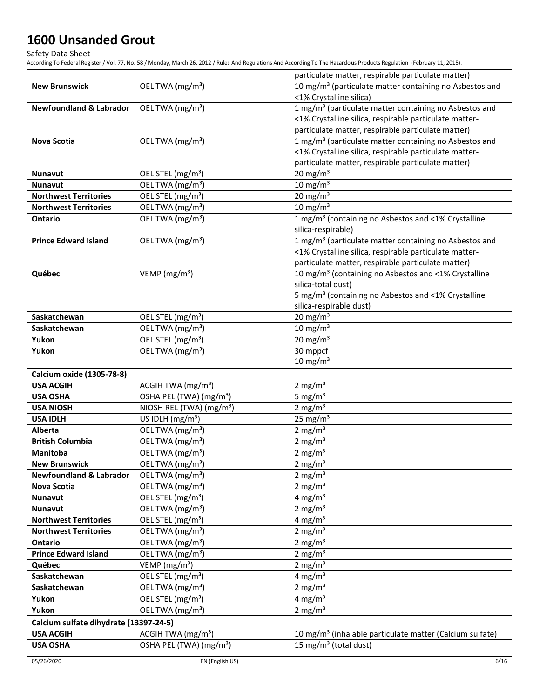Safety Data Sheet

|                                                      |                                      | particulate matter, respirable particulate matter)                   |
|------------------------------------------------------|--------------------------------------|----------------------------------------------------------------------|
| <b>New Brunswick</b>                                 | OEL TWA (mg/m <sup>3</sup> )         | 10 mg/m <sup>3</sup> (particulate matter containing no Asbestos and  |
|                                                      |                                      | <1% Crystalline silica)                                              |
| Newfoundland & Labrador                              | OEL TWA (mg/m <sup>3</sup> )         | 1 mg/m <sup>3</sup> (particulate matter containing no Asbestos and   |
|                                                      |                                      | <1% Crystalline silica, respirable particulate matter-               |
|                                                      |                                      | particulate matter, respirable particulate matter)                   |
| Nova Scotia                                          | OEL TWA (mg/m <sup>3</sup> )         | 1 mg/m <sup>3</sup> (particulate matter containing no Asbestos and   |
|                                                      |                                      | <1% Crystalline silica, respirable particulate matter-               |
|                                                      |                                      | particulate matter, respirable particulate matter)                   |
| <b>Nunavut</b>                                       | OEL STEL (mg/m <sup>3</sup> )        | 20 mg/m $3$                                                          |
| <b>Nunavut</b>                                       | OEL TWA (mg/m <sup>3</sup> )         | 10 mg/m $3$                                                          |
| <b>Northwest Territories</b>                         | OEL STEL (mg/m <sup>3</sup> )        | 20 mg/m $3$                                                          |
| <b>Northwest Territories</b>                         | OEL TWA (mg/m <sup>3</sup> )         | 10 mg/m $3$                                                          |
| <b>Ontario</b>                                       | OEL TWA (mg/m <sup>3</sup> )         | 1 mg/m <sup>3</sup> (containing no Asbestos and <1% Crystalline      |
|                                                      |                                      | silica-respirable)                                                   |
| <b>Prince Edward Island</b>                          | OEL TWA (mg/m <sup>3</sup> )         | 1 mg/m <sup>3</sup> (particulate matter containing no Asbestos and   |
|                                                      |                                      | <1% Crystalline silica, respirable particulate matter-               |
|                                                      |                                      | particulate matter, respirable particulate matter)                   |
| Québec                                               | VEMP ( $mg/m3$ )                     | 10 mg/m <sup>3</sup> (containing no Asbestos and <1% Crystalline     |
|                                                      |                                      | silica-total dust)                                                   |
|                                                      |                                      | 5 mg/m <sup>3</sup> (containing no Asbestos and <1% Crystalline      |
|                                                      |                                      | silica-respirable dust)                                              |
| Saskatchewan                                         | OEL STEL (mg/m <sup>3</sup> )        | $20 \text{ mg/m}^3$                                                  |
| Saskatchewan                                         | OEL TWA (mg/m <sup>3</sup> )         | $10 \text{ mg/m}^3$                                                  |
| Yukon                                                | OEL STEL (mg/m <sup>3</sup> )        | 20 mg/m $3$                                                          |
| Yukon                                                | OEL TWA (mg/m <sup>3</sup> )         | 30 mppcf<br>$10 \text{ mg/m}^3$                                      |
|                                                      |                                      |                                                                      |
| <b>Calcium oxide (1305-78-8)</b><br><b>USA ACGIH</b> | ACGIH TWA (mg/m <sup>3</sup> )       | $2 \text{ mg/m}^3$                                                   |
| <b>USA OSHA</b>                                      | OSHA PEL (TWA) (mg/m <sup>3</sup> )  | 5 mg/ $m3$                                                           |
| <b>USA NIOSH</b>                                     | NIOSH REL (TWA) (mg/m <sup>3</sup> ) | 2 mg/ $m3$                                                           |
| <b>USA IDLH</b>                                      | US IDLH (mg/m <sup>3</sup> )         | 25 mg/m $3$                                                          |
| Alberta                                              | OEL TWA (mg/m <sup>3</sup> )         | 2 mg/ $m3$                                                           |
| <b>British Columbia</b>                              | OEL TWA (mg/m <sup>3</sup> )         | 2 mg/ $m3$                                                           |
| Manitoba                                             | OEL TWA (mg/m <sup>3</sup> )         | 2 mg/ $m3$                                                           |
| <b>New Brunswick</b>                                 | OEL TWA (mg/m <sup>3</sup> )         | 2 mg/ $m3$                                                           |
| <b>Newfoundland &amp; Labrador</b>                   | OEL TWA (mg/m <sup>3</sup> )         | 2 mg/m <sup>3</sup>                                                  |
| Nova Scotia                                          | OEL TWA (mg/m <sup>3</sup> )         | 2 mg/ $m3$                                                           |
| <b>Nunavut</b>                                       | OEL STEL (mg/m <sup>3</sup> )        | 4 mg/m <sup>3</sup>                                                  |
| <b>Nunavut</b>                                       | OEL TWA (mg/m <sup>3</sup> )         | 2 mg/ $m3$                                                           |
| <b>Northwest Territories</b>                         | OEL STEL (mg/m <sup>3</sup> )        | 4 mg/ $m3$                                                           |
| <b>Northwest Territories</b>                         | OEL TWA (mg/m <sup>3</sup> )         | 2 mg/m $3$                                                           |
| Ontario                                              | OEL TWA (mg/m <sup>3</sup> )         | 2 mg/ $m3$                                                           |
| <b>Prince Edward Island</b>                          | OEL TWA (mg/m <sup>3</sup> )         | 2 mg/ $m3$                                                           |
| Québec                                               | VEMP ( $mg/m3$ )                     | 2 mg/ $m3$                                                           |
| Saskatchewan                                         | OEL STEL (mg/m <sup>3</sup> )        | 4 mg/ $m3$                                                           |
| Saskatchewan                                         | OEL TWA (mg/m <sup>3</sup> )         | 2 mg/m $3$                                                           |
| Yukon                                                | OEL STEL (mg/m <sup>3</sup> )        | 4 mg/m $3$                                                           |
| Yukon                                                | OEL TWA (mg/m <sup>3</sup> )         | 2 mg/m $3$                                                           |
| Calcium sulfate dihydrate (13397-24-5)               |                                      |                                                                      |
| <b>USA ACGIH</b>                                     | ACGIH TWA (mg/m <sup>3</sup> )       | 10 mg/m <sup>3</sup> (inhalable particulate matter (Calcium sulfate) |
| <b>USA OSHA</b>                                      | OSHA PEL (TWA) (mg/m <sup>3</sup> )  | 15 mg/m <sup>3</sup> (total dust)                                    |
|                                                      |                                      |                                                                      |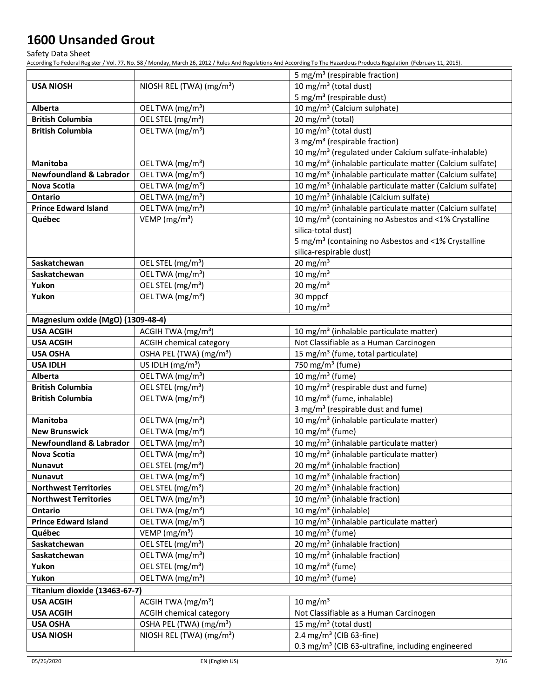Safety Data Sheet

|                                    |                                      | 5 mg/m <sup>3</sup> (respirable fraction)                            |  |
|------------------------------------|--------------------------------------|----------------------------------------------------------------------|--|
| <b>USA NIOSH</b>                   | NIOSH REL (TWA) (mg/m <sup>3</sup> ) | 10 mg/m $3$ (total dust)                                             |  |
|                                    |                                      | 5 mg/m <sup>3</sup> (respirable dust)                                |  |
| <b>Alberta</b>                     | OEL TWA (mg/m <sup>3</sup> )         | 10 mg/m <sup>3</sup> (Calcium sulphate)                              |  |
| <b>British Columbia</b>            | OEL STEL (mg/m <sup>3</sup> )        | 20 mg/m <sup>3</sup> (total)                                         |  |
| <b>British Columbia</b>            | OEL TWA (mg/m <sup>3</sup> )         | 10 mg/m <sup>3</sup> (total dust)                                    |  |
|                                    |                                      | 3 mg/m <sup>3</sup> (respirable fraction)                            |  |
|                                    |                                      | 10 mg/m <sup>3</sup> (regulated under Calcium sulfate-inhalable)     |  |
| Manitoba                           | OEL TWA (mg/m <sup>3</sup> )         | 10 mg/m <sup>3</sup> (inhalable particulate matter (Calcium sulfate) |  |
| <b>Newfoundland &amp; Labrador</b> | OEL TWA (mg/m <sup>3</sup> )         | 10 mg/m <sup>3</sup> (inhalable particulate matter (Calcium sulfate) |  |
| Nova Scotia                        | OEL TWA (mg/m <sup>3</sup> )         | 10 mg/m <sup>3</sup> (inhalable particulate matter (Calcium sulfate) |  |
| Ontario                            | OEL TWA (mg/m <sup>3</sup> )         | 10 mg/m <sup>3</sup> (inhalable (Calcium sulfate)                    |  |
| <b>Prince Edward Island</b>        | OEL TWA (mg/m <sup>3</sup> )         | 10 mg/m <sup>3</sup> (inhalable particulate matter (Calcium sulfate) |  |
| Québec                             | VEMP ( $mg/m3$ )                     | 10 mg/m <sup>3</sup> (containing no Asbestos and <1% Crystalline     |  |
|                                    |                                      | silica-total dust)                                                   |  |
|                                    |                                      | 5 mg/m <sup>3</sup> (containing no Asbestos and <1% Crystalline      |  |
|                                    |                                      | silica-respirable dust)                                              |  |
| Saskatchewan                       | OEL STEL (mg/m <sup>3</sup> )        | $20$ mg/m <sup>3</sup>                                               |  |
| Saskatchewan                       | OEL TWA (mg/m <sup>3</sup> )         | $10$ mg/m <sup>3</sup>                                               |  |
| Yukon                              | OEL STEL (mg/m <sup>3</sup> )        | 20 mg/m $3$                                                          |  |
| Yukon                              | OEL TWA (mg/m <sup>3</sup> )         | 30 mppcf                                                             |  |
|                                    |                                      | $10$ mg/m <sup>3</sup>                                               |  |
| Magnesium oxide (MgO) (1309-48-4)  |                                      |                                                                      |  |
| <b>USA ACGIH</b>                   | ACGIH TWA (mg/m <sup>3</sup> )       | 10 mg/m <sup>3</sup> (inhalable particulate matter)                  |  |
| <b>USA ACGIH</b>                   | <b>ACGIH chemical category</b>       | Not Classifiable as a Human Carcinogen                               |  |
| <b>USA OSHA</b>                    | OSHA PEL (TWA) (mg/m <sup>3</sup> )  | 15 mg/m <sup>3</sup> (fume, total particulate)                       |  |
| <b>USA IDLH</b>                    | US IDLH $(mg/m3)$                    | 750 mg/m <sup>3</sup> (fume)                                         |  |
| Alberta                            | OEL TWA (mg/m <sup>3</sup> )         | 10 mg/m <sup>3</sup> (fume)                                          |  |
| <b>British Columbia</b>            | OEL STEL (mg/m <sup>3</sup> )        | 10 mg/m <sup>3</sup> (respirable dust and fume)                      |  |
| <b>British Columbia</b>            | OEL TWA (mg/m <sup>3</sup> )         | 10 mg/m <sup>3</sup> (fume, inhalable)                               |  |
|                                    |                                      | 3 mg/m <sup>3</sup> (respirable dust and fume)                       |  |
| <b>Manitoba</b>                    | OEL TWA (mg/m <sup>3</sup> )         | 10 mg/m <sup>3</sup> (inhalable particulate matter)                  |  |
| <b>New Brunswick</b>               | OEL TWA (mg/m <sup>3</sup> )         | 10 mg/m $3$ (fume)                                                   |  |
| <b>Newfoundland &amp; Labrador</b> | OEL TWA (mg/m <sup>3</sup> )         | 10 mg/m <sup>3</sup> (inhalable particulate matter)                  |  |
| Nova Scotia                        | OEL TWA (mg/m <sup>3</sup> )         | 10 mg/m <sup>3</sup> (inhalable particulate matter)                  |  |
| <b>Nunavut</b>                     | OEL STEL (mg/m <sup>3</sup> )        | 20 mg/m <sup>3</sup> (inhalable fraction)                            |  |
| <b>Nunavut</b>                     | OEL TWA (mg/m <sup>3</sup> )         | 10 mg/m <sup>3</sup> (inhalable fraction)                            |  |
| <b>Northwest Territories</b>       | OEL STEL (mg/m <sup>3</sup> )        | 20 mg/m <sup>3</sup> (inhalable fraction)                            |  |
| <b>Northwest Territories</b>       | OEL TWA (mg/m <sup>3</sup> )         | 10 mg/m <sup>3</sup> (inhalable fraction)                            |  |
| Ontario                            | OEL TWA (mg/m <sup>3</sup> )         | 10 mg/m <sup>3</sup> (inhalable)                                     |  |
| <b>Prince Edward Island</b>        | OEL TWA (mg/m <sup>3</sup> )         | 10 mg/m <sup>3</sup> (inhalable particulate matter)                  |  |
| Québec                             | VEMP ( $mg/m3$ )                     | 10 mg/m $3$ (fume)                                                   |  |
| Saskatchewan                       | OEL STEL (mg/m <sup>3</sup> )        | 20 mg/m <sup>3</sup> (inhalable fraction)                            |  |
| Saskatchewan                       | OEL TWA (mg/m <sup>3</sup> )         | 10 mg/m <sup>3</sup> (inhalable fraction)                            |  |
| Yukon                              | OEL STEL (mg/m <sup>3</sup> )        | 10 mg/m <sup>3</sup> (fume)                                          |  |
| Yukon                              | OEL TWA (mg/m <sup>3</sup> )         | 10 mg/m <sup>3</sup> (fume)                                          |  |
| Titanium dioxide (13463-67-7)      |                                      |                                                                      |  |
| <b>USA ACGIH</b>                   | ACGIH TWA (mg/m <sup>3</sup> )       | $10 \text{ mg/m}^3$                                                  |  |
| <b>USA ACGIH</b>                   | <b>ACGIH chemical category</b>       | Not Classifiable as a Human Carcinogen                               |  |
| <b>USA OSHA</b>                    | OSHA PEL (TWA) (mg/m <sup>3</sup> )  | 15 mg/m <sup>3</sup> (total dust)                                    |  |
| <b>USA NIOSH</b>                   | NIOSH REL (TWA) (mg/m <sup>3</sup> ) | 2.4 mg/m <sup>3</sup> (CIB 63-fine)                                  |  |
|                                    |                                      | 0.3 mg/m <sup>3</sup> (CIB 63-ultrafine, including engineered        |  |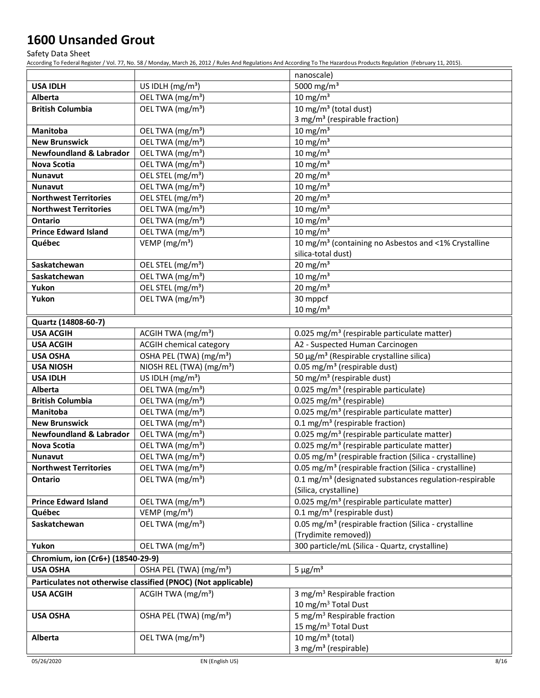Safety Data Sheet

|                                                |                                                                            | nanoscale)                                                                                                                    |  |
|------------------------------------------------|----------------------------------------------------------------------------|-------------------------------------------------------------------------------------------------------------------------------|--|
| <b>USA IDLH</b>                                | US IDLH $(mg/m3)$                                                          | 5000 mg/m <sup>3</sup>                                                                                                        |  |
| <b>Alberta</b>                                 | OEL TWA (mg/m <sup>3</sup> )                                               | $10 \text{ mg/m}^3$                                                                                                           |  |
| <b>British Columbia</b>                        | OEL TWA (mg/m <sup>3</sup> )                                               | $10 \,\mathrm{mg/m^3}$ (total dust)                                                                                           |  |
|                                                |                                                                            | 3 mg/m <sup>3</sup> (respirable fraction)                                                                                     |  |
| Manitoba<br><b>New Brunswick</b>               | OEL TWA (mg/m <sup>3</sup> )<br>OEL TWA (mg/m <sup>3</sup> )               | 10 mg/m $3$                                                                                                                   |  |
| <b>Newfoundland &amp; Labrador</b>             |                                                                            | $10 \text{ mg/m}^3$                                                                                                           |  |
| <b>Nova Scotia</b>                             | OEL TWA (mg/m <sup>3</sup> )                                               | 10 mg/m $3$<br>$10 \text{ mg/m}^3$                                                                                            |  |
|                                                | OEL TWA (mg/m <sup>3</sup> )<br>OEL STEL (mg/m <sup>3</sup> )              | 20 mg/m $3$                                                                                                                   |  |
| <b>Nunavut</b>                                 | OEL TWA (mg/m <sup>3</sup> )                                               |                                                                                                                               |  |
| <b>Nunavut</b>                                 |                                                                            | $10 \text{ mg/m}^3$                                                                                                           |  |
| <b>Northwest Territories</b>                   | OEL STEL (mg/m <sup>3</sup> )                                              | 20 mg/m $3$                                                                                                                   |  |
| <b>Northwest Territories</b>                   | OEL TWA (mg/m <sup>3</sup> )                                               | $10 \text{ mg/m}^3$                                                                                                           |  |
| <b>Ontario</b>                                 | OEL TWA (mg/m <sup>3</sup> )                                               | $10 \text{ mg/m}^3$                                                                                                           |  |
| <b>Prince Edward Island</b>                    | OEL TWA (mg/m <sup>3</sup> )                                               | $10 \text{ mg/m}^3$                                                                                                           |  |
| Québec                                         | VEMP ( $mg/m3$ )                                                           | 10 mg/m <sup>3</sup> (containing no Asbestos and <1% Crystalline<br>silica-total dust)                                        |  |
| Saskatchewan                                   |                                                                            |                                                                                                                               |  |
| Saskatchewan                                   | OEL STEL (mg/m <sup>3</sup> )<br>OEL TWA (mg/m <sup>3</sup> )              | 20 mg/m $3$                                                                                                                   |  |
|                                                | OEL STEL (mg/m <sup>3</sup> )                                              | $10 \text{ mg/m}^3$                                                                                                           |  |
| Yukon                                          |                                                                            | 20 mg/m $3$<br>$30$ mppcf                                                                                                     |  |
| Yukon                                          | OEL TWA (mg/m <sup>3</sup> )                                               | $10 \text{ mg/m}^3$                                                                                                           |  |
|                                                |                                                                            |                                                                                                                               |  |
| Quartz (14808-60-7)                            |                                                                            |                                                                                                                               |  |
| <b>USA ACGIH</b>                               | ACGIH TWA $(mg/m3)$                                                        | 0.025 mg/m <sup>3</sup> (respirable particulate matter)                                                                       |  |
| <b>USA ACGIH</b>                               | ACGIH chemical category                                                    | A2 - Suspected Human Carcinogen                                                                                               |  |
| <b>USA OSHA</b>                                | OSHA PEL (TWA) (mg/m <sup>3</sup> )                                        | 50 μg/m <sup>3</sup> (Respirable crystalline silica)<br>0.05 mg/m <sup>3</sup> (respirable dust)                              |  |
| <b>USA NIOSH</b>                               | NIOSH REL (TWA) (mg/m <sup>3</sup> )                                       | 50 mg/m <sup>3</sup> (respirable dust)                                                                                        |  |
| <b>USA IDLH</b>                                | US IDLH (mg/m <sup>3</sup> )                                               |                                                                                                                               |  |
| Alberta                                        | OEL TWA (mg/m <sup>3</sup> )                                               | 0.025 mg/m <sup>3</sup> (respirable particulate)                                                                              |  |
| <b>British Columbia</b>                        | OEL TWA (mg/m <sup>3</sup> )                                               | 0.025 mg/m <sup>3</sup> (respirable)                                                                                          |  |
| <b>Manitoba</b>                                | OEL TWA (mg/m <sup>3</sup> )                                               | 0.025 mg/m <sup>3</sup> (respirable particulate matter)                                                                       |  |
| <b>New Brunswick</b>                           | OEL TWA (mg/m <sup>3</sup> )                                               | 0.1 mg/m <sup>3</sup> (respirable fraction)                                                                                   |  |
| <b>Newfoundland &amp; Labrador</b>             | OEL TWA (mg/m <sup>3</sup> )<br>$\overline{OE}$ L TWA (mg/m <sup>3</sup> ) | 0.025 mg/m <sup>3</sup> (respirable particulate matter)                                                                       |  |
| <b>Nova Scotia</b>                             |                                                                            | 0.025 mg/m <sup>3</sup> (respirable particulate matter)<br>0.05 mg/m <sup>3</sup> (respirable fraction (Silica - crystalline) |  |
| <b>Nunavut</b><br><b>Northwest Territories</b> | OEL TWA (mg/m <sup>3</sup> )<br>OEL TWA (mg/m <sup>3</sup> )               | 0.05 mg/m <sup>3</sup> (respirable fraction (Silica - crystalline)                                                            |  |
|                                                |                                                                            |                                                                                                                               |  |
| Ontario                                        | OEL TWA (mg/m <sup>3</sup> )                                               | 0.1 mg/m <sup>3</sup> (designated substances regulation-respirable<br>(Silica, crystalline)                                   |  |
| <b>Prince Edward Island</b>                    | OEL TWA (mg/m <sup>3</sup> )                                               | 0.025 mg/m <sup>3</sup> (respirable particulate matter)                                                                       |  |
| Québec                                         | VEMP ( $mg/m3$ )                                                           | $0.1$ mg/m <sup>3</sup> (respirable dust)                                                                                     |  |
| Saskatchewan                                   | OEL TWA (mg/m <sup>3</sup> )                                               | 0.05 mg/m <sup>3</sup> (respirable fraction (Silica - crystalline                                                             |  |
|                                                |                                                                            | (Trydimite removed))                                                                                                          |  |
| Yukon                                          | OEL TWA (mg/m <sup>3</sup> )                                               | 300 particle/mL (Silica - Quartz, crystalline)                                                                                |  |
|                                                |                                                                            |                                                                                                                               |  |
| Chromium, ion (Cr6+) (18540-29-9)              |                                                                            |                                                                                                                               |  |
| <b>USA OSHA</b>                                | OSHA PEL (TWA) (mg/m <sup>3</sup> )                                        | $5 \mu g/m^3$                                                                                                                 |  |
|                                                | Particulates not otherwise classified (PNOC) (Not applicable)              |                                                                                                                               |  |
| <b>USA ACGIH</b>                               | ACGIH TWA $(mg/m3)$                                                        | 3 mg/m <sup>3</sup> Respirable fraction                                                                                       |  |
|                                                |                                                                            | 10 mg/m <sup>3</sup> Total Dust                                                                                               |  |
| <b>USA OSHA</b>                                | OSHA PEL (TWA) (mg/m <sup>3</sup> )                                        | 5 mg/m <sup>3</sup> Respirable fraction                                                                                       |  |
|                                                | OEL TWA (mg/m <sup>3</sup> )                                               | 15 mg/m <sup>3</sup> Total Dust<br>10 mg/m $3$ (total)                                                                        |  |
| Alberta                                        |                                                                            | 3 mg/m <sup>3</sup> (respirable)                                                                                              |  |
|                                                |                                                                            |                                                                                                                               |  |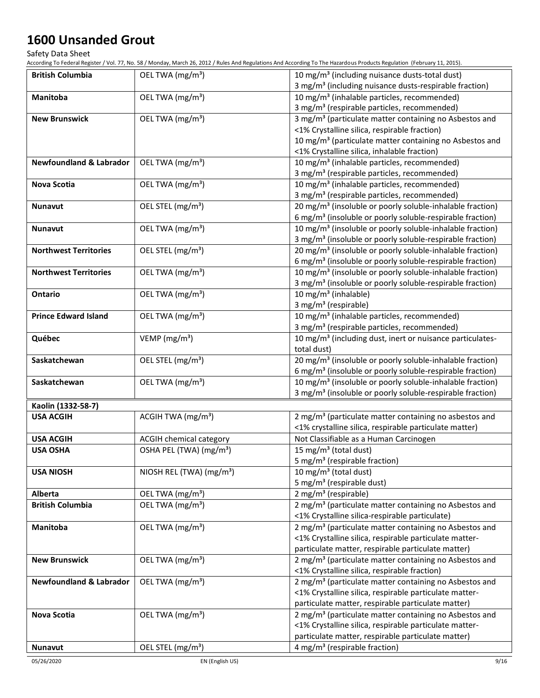Safety Data Sheet

| <b>British Columbia</b>            | OEL TWA (mg/m <sup>3</sup> )         | 10 mg/m <sup>3</sup> (including nuisance dusts-total dust)            |
|------------------------------------|--------------------------------------|-----------------------------------------------------------------------|
|                                    |                                      | 3 mg/m <sup>3</sup> (including nuisance dusts-respirable fraction)    |
| Manitoba                           | OEL TWA (mg/m <sup>3</sup> )         | 10 mg/m <sup>3</sup> (inhalable particles, recommended)               |
|                                    |                                      | 3 mg/m <sup>3</sup> (respirable particles, recommended)               |
| <b>New Brunswick</b>               | OEL TWA (mg/m <sup>3</sup> )         | 3 mg/m <sup>3</sup> (particulate matter containing no Asbestos and    |
|                                    |                                      | <1% Crystalline silica, respirable fraction)                          |
|                                    |                                      | 10 mg/m <sup>3</sup> (particulate matter containing no Asbestos and   |
|                                    |                                      | <1% Crystalline silica, inhalable fraction)                           |
| <b>Newfoundland &amp; Labrador</b> | OEL TWA (mg/m <sup>3</sup> )         | 10 mg/m <sup>3</sup> (inhalable particles, recommended)               |
|                                    |                                      | 3 mg/m <sup>3</sup> (respirable particles, recommended)               |
| Nova Scotia                        | OEL TWA (mg/m <sup>3</sup> )         | 10 mg/m <sup>3</sup> (inhalable particles, recommended)               |
|                                    |                                      | 3 mg/m <sup>3</sup> (respirable particles, recommended)               |
| <b>Nunavut</b>                     | OEL STEL (mg/m <sup>3</sup> )        | 20 mg/m <sup>3</sup> (insoluble or poorly soluble-inhalable fraction) |
|                                    |                                      | 6 mg/m <sup>3</sup> (insoluble or poorly soluble-respirable fraction) |
| <b>Nunavut</b>                     | OEL TWA (mg/m <sup>3</sup> )         | 10 mg/m <sup>3</sup> (insoluble or poorly soluble-inhalable fraction) |
|                                    |                                      | 3 mg/m <sup>3</sup> (insoluble or poorly soluble-respirable fraction) |
| <b>Northwest Territories</b>       | OEL STEL (mg/m <sup>3</sup> )        | 20 mg/m <sup>3</sup> (insoluble or poorly soluble-inhalable fraction) |
|                                    |                                      | 6 mg/m <sup>3</sup> (insoluble or poorly soluble-respirable fraction) |
| <b>Northwest Territories</b>       | OEL TWA (mg/m <sup>3</sup> )         | 10 mg/m <sup>3</sup> (insoluble or poorly soluble-inhalable fraction) |
|                                    |                                      | 3 mg/m <sup>3</sup> (insoluble or poorly soluble-respirable fraction) |
| Ontario                            | OEL TWA (mg/m <sup>3</sup> )         | 10 mg/m <sup>3</sup> (inhalable)                                      |
|                                    |                                      | 3 mg/m <sup>3</sup> (respirable)                                      |
| <b>Prince Edward Island</b>        | OEL TWA (mg/m <sup>3</sup> )         | 10 mg/m <sup>3</sup> (inhalable particles, recommended)               |
|                                    |                                      | 3 mg/m <sup>3</sup> (respirable particles, recommended)               |
| Québec                             | VEMP ( $mg/m3$ )                     | 10 mg/m <sup>3</sup> (including dust, inert or nuisance particulates- |
|                                    |                                      | total dust)                                                           |
| Saskatchewan                       | OEL STEL (mg/m <sup>3</sup> )        | 20 mg/m <sup>3</sup> (insoluble or poorly soluble-inhalable fraction) |
|                                    |                                      | 6 mg/m <sup>3</sup> (insoluble or poorly soluble-respirable fraction) |
| Saskatchewan                       | OEL TWA (mg/m <sup>3</sup> )         | 10 mg/m <sup>3</sup> (insoluble or poorly soluble-inhalable fraction) |
|                                    |                                      | 3 mg/m <sup>3</sup> (insoluble or poorly soluble-respirable fraction) |
| Kaolin (1332-58-7)                 |                                      |                                                                       |
| <b>USA ACGIH</b>                   | ACGIH TWA (mg/m <sup>3</sup> )       | 2 mg/m <sup>3</sup> (particulate matter containing no asbestos and    |
|                                    |                                      | <1% crystalline silica, respirable particulate matter)                |
| <b>USA ACGIH</b>                   | ACGIH chemical category              | Not Classifiable as a Human Carcinogen                                |
| <b>USA OSHA</b>                    | OSHA PEL (TWA) (mg/m <sup>3</sup> )  | 15 mg/m <sup>3</sup> (total dust)                                     |
|                                    |                                      | 5 mg/m <sup>3</sup> (respirable fraction)                             |
| <b>USA NIOSH</b>                   | NIOSH REL (TWA) (mg/m <sup>3</sup> ) | 10 mg/m <sup>3</sup> (total dust)                                     |
|                                    |                                      | 5 mg/m <sup>3</sup> (respirable dust)                                 |
| Alberta                            | OEL TWA (mg/m <sup>3</sup> )         | 2 mg/m <sup>3</sup> (respirable)                                      |
| <b>British Columbia</b>            | OEL TWA (mg/m <sup>3</sup> )         | 2 mg/m <sup>3</sup> (particulate matter containing no Asbestos and    |
|                                    |                                      | <1% Crystalline silica-respirable particulate)                        |
| Manitoba                           | OEL TWA (mg/m <sup>3</sup> )         | 2 mg/m <sup>3</sup> (particulate matter containing no Asbestos and    |
|                                    |                                      | <1% Crystalline silica, respirable particulate matter-                |
|                                    |                                      | particulate matter, respirable particulate matter)                    |
| <b>New Brunswick</b>               | OEL TWA (mg/m <sup>3</sup> )         | 2 mg/m <sup>3</sup> (particulate matter containing no Asbestos and    |
|                                    |                                      | <1% Crystalline silica, respirable fraction)                          |
| <b>Newfoundland &amp; Labrador</b> | OEL TWA (mg/m <sup>3</sup> )         | 2 mg/m <sup>3</sup> (particulate matter containing no Asbestos and    |
|                                    |                                      | <1% Crystalline silica, respirable particulate matter-                |
|                                    |                                      | particulate matter, respirable particulate matter)                    |
| Nova Scotia                        | OEL TWA (mg/m <sup>3</sup> )         | 2 mg/m <sup>3</sup> (particulate matter containing no Asbestos and    |
|                                    |                                      | <1% Crystalline silica, respirable particulate matter-                |
|                                    |                                      | particulate matter, respirable particulate matter)                    |
| <b>Nunavut</b>                     | OEL STEL (mg/m <sup>3</sup> )        | 4 mg/m <sup>3</sup> (respirable fraction)                             |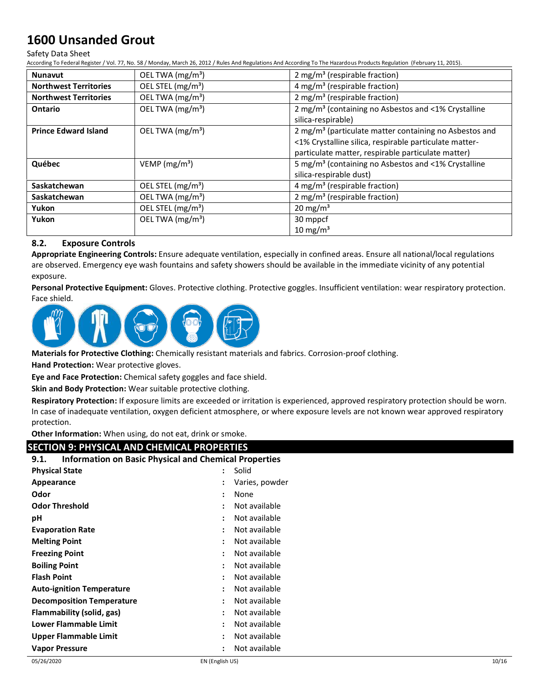#### Safety Data Sheet

According To Federal Register / Vol. 77, No. 58 / Monday, March 26, 2012 / Rules And Regulations And According To The Hazardous Products Regulation (February 11, 2015).

| <b>Nunavut</b>               | OEL TWA $(mg/m3)$             | 2 mg/m <sup>3</sup> (respirable fraction)                          |
|------------------------------|-------------------------------|--------------------------------------------------------------------|
| <b>Northwest Territories</b> | OEL STEL (mg/m <sup>3</sup> ) | 4 mg/m <sup>3</sup> (respirable fraction)                          |
| <b>Northwest Territories</b> | OEL TWA (mg/m <sup>3</sup> )  | 2 mg/m <sup>3</sup> (respirable fraction)                          |
| Ontario                      | OEL TWA (mg/m <sup>3</sup> )  | 2 mg/m <sup>3</sup> (containing no Asbestos and <1% Crystalline    |
|                              |                               | silica-respirable)                                                 |
| <b>Prince Edward Island</b>  | OEL TWA $(mg/m3)$             | 2 mg/m <sup>3</sup> (particulate matter containing no Asbestos and |
|                              |                               | <1% Crystalline silica, respirable particulate matter-             |
|                              |                               | particulate matter, respirable particulate matter)                 |
| Québec                       | VEMP $(mg/m3)$                | 5 mg/m <sup>3</sup> (containing no Asbestos and <1% Crystalline    |
|                              |                               | silica-respirable dust)                                            |
| Saskatchewan                 | OEL STEL (mg/m <sup>3</sup> ) | 4 mg/m <sup>3</sup> (respirable fraction)                          |
| <b>Saskatchewan</b>          | OEL TWA (mg/m <sup>3</sup> )  | 2 mg/m <sup>3</sup> (respirable fraction)                          |
| Yukon                        | OEL STEL (mg/m <sup>3</sup> ) | $20 \text{ mg/m}^3$                                                |
| Yukon                        | OEL TWA $(mg/m3)$             | 30 mppcf                                                           |
|                              |                               | $10 \text{ mg/m}^3$                                                |

### **8.2. Exposure Controls**

**Appropriate Engineering Controls:** Ensure adequate ventilation, especially in confined areas. Ensure all national/local regulations are observed. Emergency eye wash fountains and safety showers should be available in the immediate vicinity of any potential exposure.

**Personal Protective Equipment:** Gloves. Protective clothing. Protective goggles. Insufficient ventilation: wear respiratory protection. Face shield.



**Materials for Protective Clothing:** Chemically resistant materials and fabrics. Corrosion-proof clothing.

**Hand Protection:** Wear protective gloves.

**Eye and Face Protection:** Chemical safety goggles and face shield.

**Skin and Body Protection:** Wear suitable protective clothing.

**Respiratory Protection:** If exposure limits are exceeded or irritation is experienced, approved respiratory protection should be worn. In case of inadequate ventilation, oxygen deficient atmosphere, or where exposure levels are not known wear approved respiratory protection.

**Other Information:** When using, do not eat, drink or smoke.

## **SECTION 9: PHYSICAL AND CHEMICAL PROPERTIES**

| <b>Information on Basic Physical and Chemical Properties</b><br>9.1. |                      |                |
|----------------------------------------------------------------------|----------------------|----------------|
| <b>Physical State</b>                                                |                      | Solid          |
| Appearance                                                           |                      | Varies, powder |
| Odor                                                                 | $\ddot{\cdot}$       | None           |
| <b>Odor Threshold</b>                                                | $\ddot{\cdot}$       | Not available  |
| рH                                                                   |                      | Not available  |
| <b>Evaporation Rate</b>                                              |                      | Not available  |
| <b>Melting Point</b>                                                 | :                    | Not available  |
| <b>Freezing Point</b>                                                | $\ddot{\phantom{a}}$ | Not available  |
| <b>Boiling Point</b>                                                 | ٠                    | Not available  |
| <b>Flash Point</b>                                                   |                      | Not available  |
| <b>Auto-ignition Temperature</b>                                     | $\ddot{\phantom{a}}$ | Not available  |
| <b>Decomposition Temperature</b>                                     | :                    | Not available  |
| Flammability (solid, gas)                                            |                      | Not available  |
| <b>Lower Flammable Limit</b>                                         | ÷                    | Not available  |
| Upper Flammable Limit                                                | ٠                    | Not available  |
| Vapor Pressure                                                       |                      | Not available  |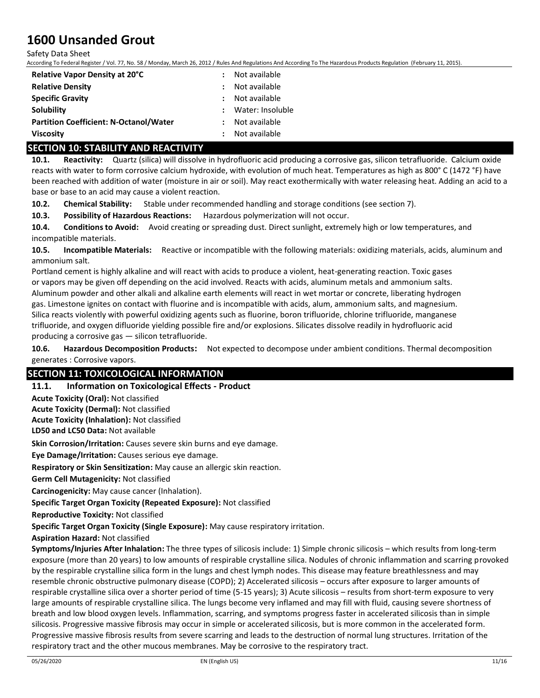Safety Data Sheet

According To Federal Register / Vol. 77, No. 58 / Monday, March 26, 2012 / Rules And Regulations And According To The Hazardous Products Regulation (February 11, 2015).

| Relative Vapor Density at 20°C                | Not available    |
|-----------------------------------------------|------------------|
| <b>Relative Density</b>                       | Not available    |
| <b>Specific Gravity</b>                       | : Not available  |
| <b>Solubility</b>                             | Water: Insoluble |
| <b>Partition Coefficient: N-Octanol/Water</b> | Not available    |
| <b>Viscosity</b>                              | Not available    |

## **SECTION 10: STABILITY AND REACTIVITY**

**10.1. Reactivity:** Quartz (silica) will dissolve in hydrofluoric acid producing a corrosive gas, silicon tetrafluoride. Calcium oxide reacts with water to form corrosive calcium hydroxide, with evolution of much heat. Temperatures as high as 800° C (1472 °F) have been reached with addition of water (moisture in air or soil). May react exothermically with water releasing heat. Adding an acid to a base or base to an acid may cause a violent reaction.

**10.2. Chemical Stability:** Stable under recommended handling and storage conditions (see section 7).

**10.3. Possibility of Hazardous Reactions:** Hazardous polymerization will not occur.

**10.4. Conditions to Avoid:** Avoid creating or spreading dust. Direct sunlight, extremely high or low temperatures, and incompatible materials.

**10.5. Incompatible Materials:** Reactive or incompatible with the following materials: oxidizing materials, acids, aluminum and ammonium salt.

Portland cement is highly alkaline and will react with acids to produce a violent, heat-generating reaction. Toxic gases or vapors may be given off depending on the acid involved. Reacts with acids, aluminum metals and ammonium salts. Aluminum powder and other alkali and alkaline earth elements will react in wet mortar or concrete, liberating hydrogen gas. Limestone ignites on contact with fluorine and is incompatible with acids, alum, ammonium salts, and magnesium. Silica reacts violently with powerful oxidizing agents such as fluorine, boron trifluoride, chlorine trifluoride, manganese trifluoride, and oxygen difluoride yielding possible fire and/or explosions. Silicates dissolve readily in hydrofluoric acid producing a corrosive gas — silicon tetrafluoride.

**10.6. Hazardous Decomposition Products:** Not expected to decompose under ambient conditions. Thermal decomposition generates : Corrosive vapors.

## **SECTION 11: TOXICOLOGICAL INFORMATION**

#### **11.1. Information on Toxicological Effects - Product**

**Acute Toxicity (Oral):** Not classified

**Acute Toxicity (Dermal):** Not classified

**Acute Toxicity (Inhalation):** Not classified

**LD50 and LC50 Data:** Not available

**Skin Corrosion/Irritation:** Causes severe skin burns and eye damage.

**Eye Damage/Irritation:** Causes serious eye damage.

**Respiratory or Skin Sensitization:** May cause an allergic skin reaction.

**Germ Cell Mutagenicity:** Not classified

**Carcinogenicity:** May cause cancer (Inhalation).

**Specific Target Organ Toxicity (Repeated Exposure):** Not classified

**Reproductive Toxicity:** Not classified

**Specific Target Organ Toxicity (Single Exposure):** May cause respiratory irritation.

**Aspiration Hazard:** Not classified

**Symptoms/Injuries After Inhalation:** The three types of silicosis include: 1) Simple chronic silicosis – which results from long-term exposure (more than 20 years) to low amounts of respirable crystalline silica. Nodules of chronic inflammation and scarring provoked by the respirable crystalline silica form in the lungs and chest lymph nodes. This disease may feature breathlessness and may resemble chronic obstructive pulmonary disease (COPD); 2) Accelerated silicosis – occurs after exposure to larger amounts of respirable crystalline silica over a shorter period of time (5-15 years); 3) Acute silicosis – results from short-term exposure to very large amounts of respirable crystalline silica. The lungs become very inflamed and may fill with fluid, causing severe shortness of breath and low blood oxygen levels. Inflammation, scarring, and symptoms progress faster in accelerated silicosis than in simple silicosis. Progressive massive fibrosis may occur in simple or accelerated silicosis, but is more common in the accelerated form. Progressive massive fibrosis results from severe scarring and leads to the destruction of normal lung structures. Irritation of the respiratory tract and the other mucous membranes. May be corrosive to the respiratory tract.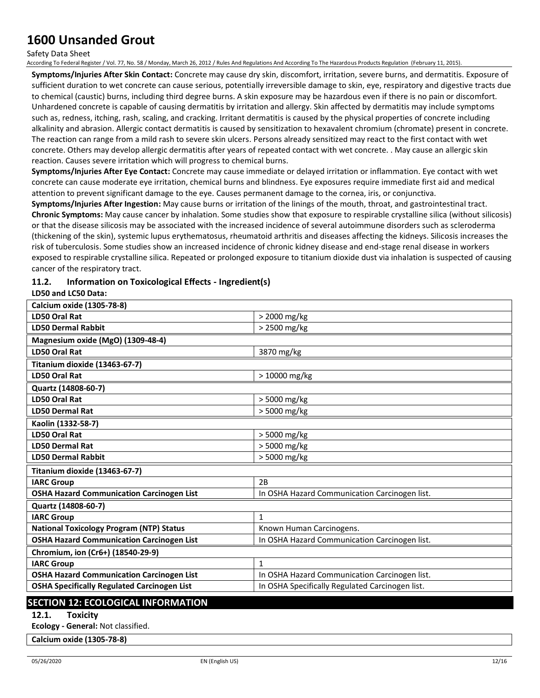Safety Data Sheet

According To Federal Register / Vol. 77, No. 58 / Monday, March 26, 2012 / Rules And Regulations And According To The Hazardous Products Regulation (February 11, 2015).

**Symptoms/Injuries After Skin Contact:** Concrete may cause dry skin, discomfort, irritation, severe burns, and dermatitis. Exposure of sufficient duration to wet concrete can cause serious, potentially irreversible damage to skin, eye, respiratory and digestive tracts due to chemical (caustic) burns, including third degree burns. A skin exposure may be hazardous even if there is no pain or discomfort. Unhardened concrete is capable of causing dermatitis by irritation and allergy. Skin affected by dermatitis may include symptoms such as, redness, itching, rash, scaling, and cracking. Irritant dermatitis is caused by the physical properties of concrete including alkalinity and abrasion. Allergic contact dermatitis is caused by sensitization to hexavalent chromium (chromate) present in concrete. The reaction can range from a mild rash to severe skin ulcers. Persons already sensitized may react to the first contact with wet concrete. Others may develop allergic dermatitis after years of repeated contact with wet concrete. . May cause an allergic skin reaction. Causes severe irritation which will progress to chemical burns.

**Symptoms/Injuries After Eye Contact:** Concrete may cause immediate or delayed irritation or inflammation. Eye contact with wet concrete can cause moderate eye irritation, chemical burns and blindness. Eye exposures require immediate first aid and medical attention to prevent significant damage to the eye. Causes permanent damage to the cornea, iris, or conjunctiva.

**Symptoms/Injuries After Ingestion:** May cause burns or irritation of the linings of the mouth, throat, and gastrointestinal tract. **Chronic Symptoms:** May cause cancer by inhalation. Some studies show that exposure to respirable crystalline silica (without silicosis) or that the disease silicosis may be associated with the increased incidence of several autoimmune disorders such as scleroderma (thickening of the skin), systemic lupus erythematosus, rheumatoid arthritis and diseases affecting the kidneys. Silicosis increases the risk of tuberculosis. Some studies show an increased incidence of chronic kidney disease and end-stage renal disease in workers exposed to respirable crystalline silica. Repeated or prolonged exposure to titanium dioxide dust via inhalation is suspected of causing cancer of the respiratory tract.

## **11.2. Information on Toxicological Effects - Ingredient(s)**

### **LD50 and LC50 Data:**

| <b>Calcium oxide (1305-78-8)</b>                   |                                                 |
|----------------------------------------------------|-------------------------------------------------|
| <b>LD50 Oral Rat</b>                               | > 2000 mg/kg                                    |
| <b>LD50 Dermal Rabbit</b>                          | > 2500 mg/kg                                    |
| Magnesium oxide (MgO) (1309-48-4)                  |                                                 |
| <b>LD50 Oral Rat</b>                               | 3870 mg/kg                                      |
| Titanium dioxide (13463-67-7)                      |                                                 |
| <b>LD50 Oral Rat</b>                               | > 10000 mg/kg                                   |
| Quartz (14808-60-7)                                |                                                 |
| <b>LD50 Oral Rat</b>                               | > 5000 mg/kg                                    |
| <b>LD50 Dermal Rat</b>                             | > 5000 mg/kg                                    |
| Kaolin (1332-58-7)                                 |                                                 |
| LD50 Oral Rat                                      | > 5000 mg/kg                                    |
| <b>LD50 Dermal Rat</b>                             | > 5000 mg/kg                                    |
| <b>LD50 Dermal Rabbit</b>                          | > 5000 mg/kg                                    |
| Titanium dioxide (13463-67-7)                      |                                                 |
| <b>IARC Group</b>                                  | 2B                                              |
| <b>OSHA Hazard Communication Carcinogen List</b>   | In OSHA Hazard Communication Carcinogen list.   |
| Quartz (14808-60-7)                                |                                                 |
| <b>IARC Group</b>                                  | $\mathbf{1}$                                    |
| <b>National Toxicology Program (NTP) Status</b>    | Known Human Carcinogens.                        |
| <b>OSHA Hazard Communication Carcinogen List</b>   | In OSHA Hazard Communication Carcinogen list.   |
| Chromium, ion (Cr6+) (18540-29-9)                  |                                                 |
| <b>IARC Group</b>                                  | $\mathbf{1}$                                    |
| <b>OSHA Hazard Communication Carcinogen List</b>   | In OSHA Hazard Communication Carcinogen list.   |
| <b>OSHA Specifically Regulated Carcinogen List</b> | In OSHA Specifically Regulated Carcinogen list. |
|                                                    |                                                 |

## **SECTION 12: ECOLOGICAL INFORMATION**

## **12.1. Toxicity**

**Ecology - General:** Not classified.

**Calcium oxide (1305-78-8)**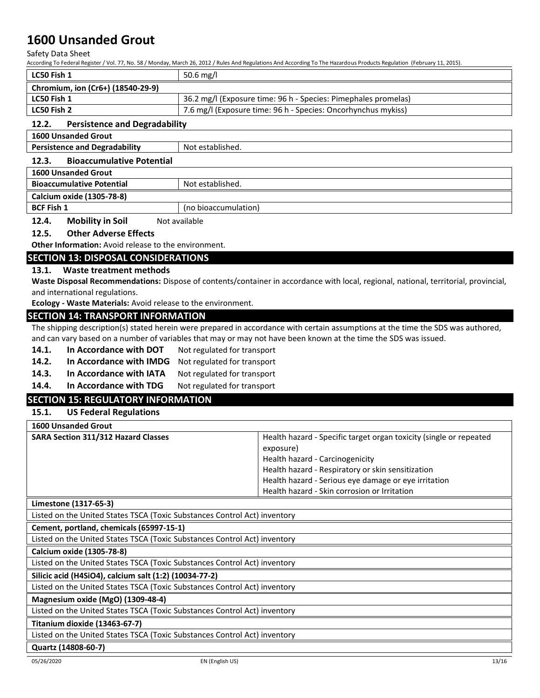Safety Data Sheet

According To Federal Register / Vol. 77, No. 58 / Monday, March 26, 2012 / Rules And Regulations And According To The Hazardous Products Regulation (February 11, 2015).

| LC50 Fish 1                       | 50.6 mg/l                                                      |
|-----------------------------------|----------------------------------------------------------------|
| Chromium, ion (Cr6+) (18540-29-9) |                                                                |
| LC50 Fish 1                       | 36.2 mg/l (Exposure time: 96 h - Species: Pimephales promelas) |
| LC50 Fish 2                       | 7.6 mg/l (Exposure time: 96 h - Species: Oncorhynchus mykiss)  |

### **12.2. Persistence and Degradability**

**1600 Unsanded Grout**

| <b>Persistence and Degradability</b>      | Not established.     |
|-------------------------------------------|----------------------|
| <b>Bioaccumulative Potential</b><br>12.3. |                      |
| <b>1600 Unsanded Grout</b>                |                      |
| <b>Bioaccumulative Potential</b>          | Not established.     |
| <b>Calcium oxide (1305-78-8)</b>          |                      |
| <b>BCF Fish 1</b>                         | (no bioaccumulation) |

**12.4. Mobility in Soil** Not available

### **12.5. Other Adverse Effects**

**Other Information:** Avoid release to the environment.

### **SECTION 13: DISPOSAL CONSIDERATIONS**

#### **13.1. Waste treatment methods**

**Waste Disposal Recommendations:** Dispose of contents/container in accordance with local, regional, national, territorial, provincial, and international regulations.

**Ecology - Waste Materials:** Avoid release to the environment.

### **SECTION 14: TRANSPORT INFORMATION**

The shipping description(s) stated herein were prepared in accordance with certain assumptions at the time the SDS was authored, and can vary based on a number of variables that may or may not have been known at the time the SDS was issued.

- 14.1. In Accordance with DOT Not regulated for transport
- **14.2. In Accordance with IMDG** Not regulated for transport
- 14.3. In Accordance with IATA Not regulated for transport
- 14.4. In Accordance with TDG Not regulated for transport

## **SECTION 15: REGULATORY INFORMATION**

### **15.1. US Federal Regulations**

| <b>1600 Unsanded Grout</b>                 |                                                                                                                                                                                                                                                                                 |
|--------------------------------------------|---------------------------------------------------------------------------------------------------------------------------------------------------------------------------------------------------------------------------------------------------------------------------------|
| <b>SARA Section 311/312 Hazard Classes</b> | Health hazard - Specific target organ toxicity (single or repeated<br>exposure)<br>Health hazard - Carcinogenicity<br>Health hazard - Respiratory or skin sensitization<br>Health hazard - Serious eye damage or eye irritation<br>Health hazard - Skin corrosion or Irritation |
|                                            |                                                                                                                                                                                                                                                                                 |

#### **Limestone (1317-65-3)**

Listed on the United States TSCA (Toxic Substances Control Act) inventory

**Cement, portland, chemicals (65997-15-1)**

Listed on the United States TSCA (Toxic Substances Control Act) inventory

#### **Calcium oxide (1305-78-8)**

Listed on the United States TSCA (Toxic Substances Control Act) inventory

**Silicic acid (H4SiO4), calcium salt (1:2) (10034-77-2)**

Listed on the United States TSCA (Toxic Substances Control Act) inventory

**Magnesium oxide (MgO) (1309-48-4)**

Listed on the United States TSCA (Toxic Substances Control Act) inventory

#### **Titanium dioxide (13463-67-7)**

Listed on the United States TSCA (Toxic Substances Control Act) inventory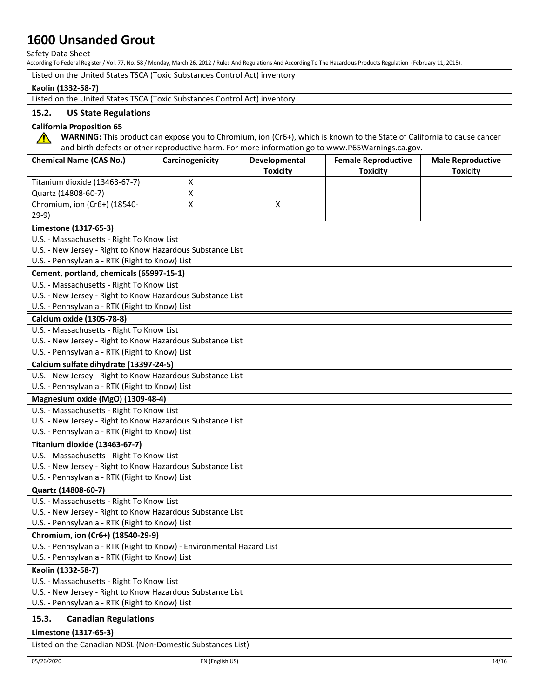Safety Data Sheet

According To Federal Register / Vol. 77, No. 58 / Monday, March 26, 2012 / Rules And Regulations And According To The Hazardous Products Regulation (February 11, 2015).

Listed on the United States TSCA (Toxic Substances Control Act) inventory

#### **Kaolin (1332-58-7)**

Listed on the United States TSCA (Toxic Substances Control Act) inventory

### **15.2. US State Regulations**

### **California Proposition 65**

**WARNING:** This product can expose you to Chromium, ion (Cr6+), which is known to the State of California to cause cancer  $\bigwedge$ and birth defects or other reproductive harm. For more information go to www.P65Warnings.ca.gov.

| <b>Chemical Name (CAS No.)</b>                                        | Carcinogenicity | Developmental<br><b>Toxicity</b> | <b>Female Reproductive</b><br><b>Toxicity</b> | <b>Male Reproductive</b><br><b>Toxicity</b> |
|-----------------------------------------------------------------------|-----------------|----------------------------------|-----------------------------------------------|---------------------------------------------|
| Titanium dioxide (13463-67-7)                                         | Х               |                                  |                                               |                                             |
| Quartz (14808-60-7)                                                   | X               |                                  |                                               |                                             |
| Chromium, ion (Cr6+) (18540-                                          | X               | X                                |                                               |                                             |
| $29-9)$                                                               |                 |                                  |                                               |                                             |
| Limestone (1317-65-3)                                                 |                 |                                  |                                               |                                             |
| U.S. - Massachusetts - Right To Know List                             |                 |                                  |                                               |                                             |
| U.S. - New Jersey - Right to Know Hazardous Substance List            |                 |                                  |                                               |                                             |
| U.S. - Pennsylvania - RTK (Right to Know) List                        |                 |                                  |                                               |                                             |
| Cement, portland, chemicals (65997-15-1)                              |                 |                                  |                                               |                                             |
| U.S. - Massachusetts - Right To Know List                             |                 |                                  |                                               |                                             |
| U.S. - New Jersey - Right to Know Hazardous Substance List            |                 |                                  |                                               |                                             |
| U.S. - Pennsylvania - RTK (Right to Know) List                        |                 |                                  |                                               |                                             |
| Calcium oxide (1305-78-8)                                             |                 |                                  |                                               |                                             |
| U.S. - Massachusetts - Right To Know List                             |                 |                                  |                                               |                                             |
| U.S. - New Jersey - Right to Know Hazardous Substance List            |                 |                                  |                                               |                                             |
| U.S. - Pennsylvania - RTK (Right to Know) List                        |                 |                                  |                                               |                                             |
| Calcium sulfate dihydrate (13397-24-5)                                |                 |                                  |                                               |                                             |
| U.S. - New Jersey - Right to Know Hazardous Substance List            |                 |                                  |                                               |                                             |
| U.S. - Pennsylvania - RTK (Right to Know) List                        |                 |                                  |                                               |                                             |
| Magnesium oxide (MgO) (1309-48-4)                                     |                 |                                  |                                               |                                             |
| U.S. - Massachusetts - Right To Know List                             |                 |                                  |                                               |                                             |
| U.S. - New Jersey - Right to Know Hazardous Substance List            |                 |                                  |                                               |                                             |
| U.S. - Pennsylvania - RTK (Right to Know) List                        |                 |                                  |                                               |                                             |
| Titanium dioxide (13463-67-7)                                         |                 |                                  |                                               |                                             |
| U.S. - Massachusetts - Right To Know List                             |                 |                                  |                                               |                                             |
| U.S. - New Jersey - Right to Know Hazardous Substance List            |                 |                                  |                                               |                                             |
| U.S. - Pennsylvania - RTK (Right to Know) List                        |                 |                                  |                                               |                                             |
| Quartz (14808-60-7)                                                   |                 |                                  |                                               |                                             |
| U.S. - Massachusetts - Right To Know List                             |                 |                                  |                                               |                                             |
| U.S. - New Jersey - Right to Know Hazardous Substance List            |                 |                                  |                                               |                                             |
| U.S. - Pennsylvania - RTK (Right to Know) List                        |                 |                                  |                                               |                                             |
| Chromium, ion (Cr6+) (18540-29-9)                                     |                 |                                  |                                               |                                             |
| U.S. - Pennsylvania - RTK (Right to Know) - Environmental Hazard List |                 |                                  |                                               |                                             |
| U.S. - Pennsylvania - RTK (Right to Know) List                        |                 |                                  |                                               |                                             |
| Kaolin (1332-58-7)                                                    |                 |                                  |                                               |                                             |
| U.S. - Massachusetts - Right To Know List                             |                 |                                  |                                               |                                             |
| U.S. - New Jersey - Right to Know Hazardous Substance List            |                 |                                  |                                               |                                             |
| U.S. - Pennsylvania - RTK (Right to Know) List                        |                 |                                  |                                               |                                             |
| 1 P. J<br>$D = -1$                                                    |                 |                                  |                                               |                                             |

## **15.3. Canadian Regulations**

**Limestone (1317-65-3)**

Listed on the Canadian NDSL (Non-Domestic Substances List)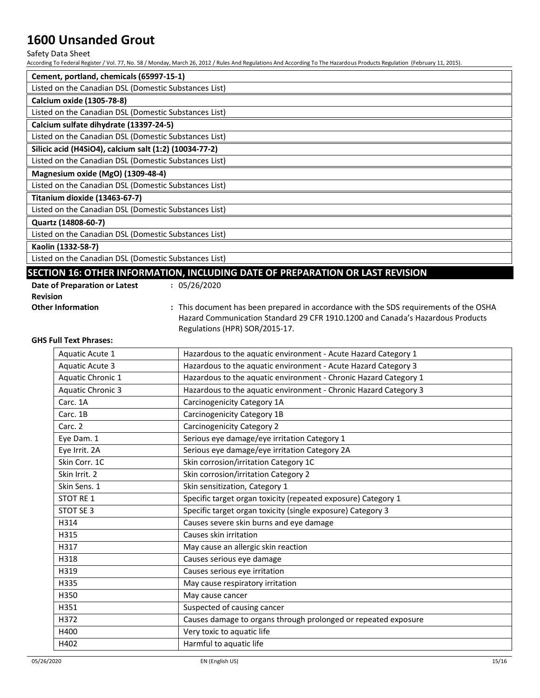#### Safety Data Sheet

According To Federal Register / Vol. 77, No. 58 / Monday, March 26, 2012 / Rules And Regulations And According To The Hazardous Products Regulation (February 11, 2015).

| Cement, portland, chemicals (65997-15-1)               |
|--------------------------------------------------------|
| Listed on the Canadian DSL (Domestic Substances List)  |
| Calcium oxide (1305-78-8)                              |
| Listed on the Canadian DSL (Domestic Substances List)  |
| Calcium sulfate dihydrate (13397-24-5)                 |
| Listed on the Canadian DSL (Domestic Substances List)  |
| Silicic acid (H4SiO4), calcium salt (1:2) (10034-77-2) |
| Listed on the Canadian DSL (Domestic Substances List)  |
| Magnesium oxide (MgO) (1309-48-4)                      |
| Listed on the Canadian DSL (Domestic Substances List)  |
| Titanium dioxide (13463-67-7)                          |
| Listed on the Canadian DSL (Domestic Substances List)  |
| Quartz (14808-60-7)                                    |
| Listed on the Canadian DSL (Domestic Substances List)  |
| Kaolin (1332-58-7)                                     |
| Listed on the Canadian DSL (Domestic Substances List)  |

# **SECTION 16: OTHER INFORMATION, INCLUDING DATE OF PREPARATION OR LAST REVISION**

| Date of Preparation or Latest | : 05/26/2020      |
|-------------------------------|-------------------|
| <b>Revision</b>               |                   |
| <b>Other Information</b>      | : This document h |

nas been prepared in accordance with the SDS requirements of the OSHA Hazard Communication Standard 29 CFR 1910.1200 and Canada's Hazardous Products Regulations (HPR) SOR/2015-17.

#### **GHS Full Text Phrases:**

| Aquatic Acute 1          | Hazardous to the aquatic environment - Acute Hazard Category 1   |
|--------------------------|------------------------------------------------------------------|
| Aquatic Acute 3          | Hazardous to the aquatic environment - Acute Hazard Category 3   |
| Aquatic Chronic 1        | Hazardous to the aquatic environment - Chronic Hazard Category 1 |
| <b>Aquatic Chronic 3</b> | Hazardous to the aquatic environment - Chronic Hazard Category 3 |
| Carc. 1A                 | Carcinogenicity Category 1A                                      |
| Carc. 1B                 | Carcinogenicity Category 1B                                      |
| Carc. 2                  | Carcinogenicity Category 2                                       |
| Eye Dam. 1               | Serious eye damage/eye irritation Category 1                     |
| Eye Irrit. 2A            | Serious eye damage/eye irritation Category 2A                    |
| Skin Corr. 1C            | Skin corrosion/irritation Category 1C                            |
| Skin Irrit. 2            | Skin corrosion/irritation Category 2                             |
| Skin Sens. 1             | Skin sensitization, Category 1                                   |
| STOT RE 1                | Specific target organ toxicity (repeated exposure) Category 1    |
| STOT SE 3                | Specific target organ toxicity (single exposure) Category 3      |
| H314                     | Causes severe skin burns and eye damage                          |
| H315                     | Causes skin irritation                                           |
| H317                     | May cause an allergic skin reaction                              |
| H318                     | Causes serious eye damage                                        |
| H319                     | Causes serious eye irritation                                    |
| H335                     | May cause respiratory irritation                                 |
| H350                     | May cause cancer                                                 |
| H351                     | Suspected of causing cancer                                      |
| H372                     | Causes damage to organs through prolonged or repeated exposure   |
| H400                     | Very toxic to aquatic life                                       |
| H402                     | Harmful to aquatic life                                          |
|                          |                                                                  |